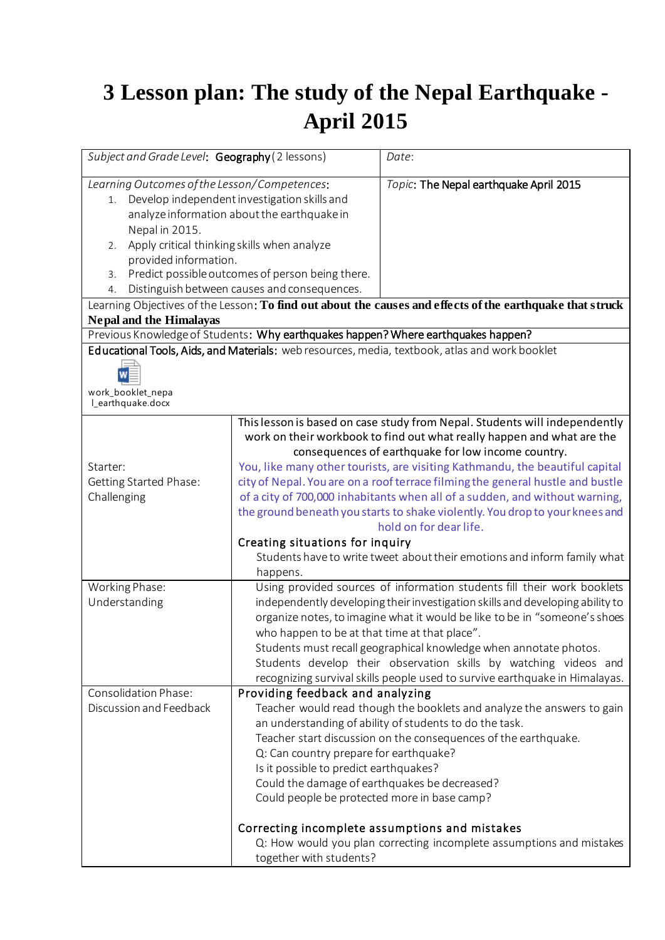## **3 Lesson plan: The study of the Nepal Earthquake - April 2015**

| Subject and Grade Level: Geography (2 lessons)                                                                                                                                                                                                                                                                                                                                                                                                                                                                                                                                                                                                                                                                                                                                              |                                                                                                                                                                                                                                                                                                                                                                                                                                                                                                                                                                                                                                                                                                  | Date:                                                                                                                                                                                                                                                                                                                          |
|---------------------------------------------------------------------------------------------------------------------------------------------------------------------------------------------------------------------------------------------------------------------------------------------------------------------------------------------------------------------------------------------------------------------------------------------------------------------------------------------------------------------------------------------------------------------------------------------------------------------------------------------------------------------------------------------------------------------------------------------------------------------------------------------|--------------------------------------------------------------------------------------------------------------------------------------------------------------------------------------------------------------------------------------------------------------------------------------------------------------------------------------------------------------------------------------------------------------------------------------------------------------------------------------------------------------------------------------------------------------------------------------------------------------------------------------------------------------------------------------------------|--------------------------------------------------------------------------------------------------------------------------------------------------------------------------------------------------------------------------------------------------------------------------------------------------------------------------------|
| Learning Outcomes of the Lesson/Competences:<br>Topic: The Nepal earthquake April 2015<br>Develop independent investigation skills and<br>1.<br>analyze information about the earthquake in<br>Nepal in 2015.<br>Apply critical thinking skills when analyze<br>2.<br>provided information.<br>Predict possible outcomes of person being there.<br>3.<br>Distinguish between causes and consequences.<br>4.<br>Learning Objectives of the Lesson: To find out about the causes and effects of the earthquake that struck<br><b>Nepal and the Himalayas</b><br>Previous Knowledge of Students: Why earthquakes happen? Where earthquakes happen?<br>Educational Tools, Aids, and Materials: web resources, media, textbook, atlas and work booklet<br>work_booklet_nepa<br>I_earthquake.docx |                                                                                                                                                                                                                                                                                                                                                                                                                                                                                                                                                                                                                                                                                                  |                                                                                                                                                                                                                                                                                                                                |
| Starter:<br><b>Getting Started Phase:</b><br>Challenging                                                                                                                                                                                                                                                                                                                                                                                                                                                                                                                                                                                                                                                                                                                                    | This lesson is based on case study from Nepal. Students will independently<br>work on their workbook to find out what really happen and what are the<br>consequences of earthquake for low income country.<br>You, like many other tourists, are visiting Kathmandu, the beautiful capital<br>city of Nepal. You are on a roof terrace filming the general hustle and bustle<br>of a city of 700,000 inhabitants when all of a sudden, and without warning,<br>the ground beneath you starts to shake violently. You drop to your knees and<br>hold on for dear life.<br>Creating situations for inquiry<br>Students have to write tweet about their emotions and inform family what<br>happens. |                                                                                                                                                                                                                                                                                                                                |
| Working Phase:<br>Understanding                                                                                                                                                                                                                                                                                                                                                                                                                                                                                                                                                                                                                                                                                                                                                             | Using provided sources of information students fill their work booklets<br>independently developing their investigation skills and developing ability to<br>organize notes, to imagine what it would be like to be in "someone's shoes<br>who happen to be at that time at that place".<br>Students must recall geographical knowledge when annotate photos.<br>Students develop their observation skills by watching videos and<br>recognizing survival skills people used to survive earthquake in Himalayas.                                                                                                                                                                                  |                                                                                                                                                                                                                                                                                                                                |
| Consolidation Phase:<br>Discussion and Feedback                                                                                                                                                                                                                                                                                                                                                                                                                                                                                                                                                                                                                                                                                                                                             | Providing feedback and analyzing<br>Q: Can country prepare for earthquake?<br>Is it possible to predict earthquakes?<br>Could the damage of earthquakes be decreased?<br>Could people be protected more in base camp?<br>together with students?                                                                                                                                                                                                                                                                                                                                                                                                                                                 | Teacher would read though the booklets and analyze the answers to gain<br>an understanding of ability of students to do the task.<br>Teacher start discussion on the consequences of the earthquake.<br>Correcting incomplete assumptions and mistakes<br>Q: How would you plan correcting incomplete assumptions and mistakes |